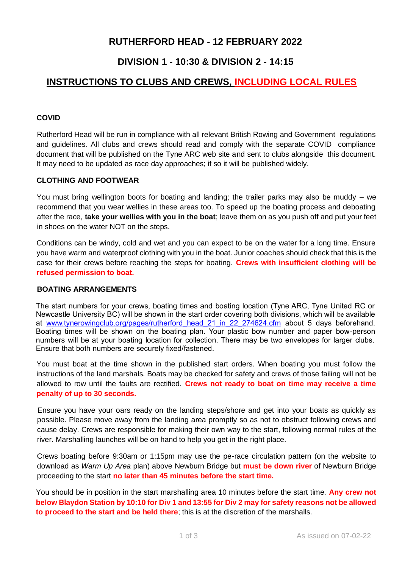# **RUTHERFORD HEAD - 12 FEBRUARY 2022**

# **DIVISION 1 - 10:30 & DIVISION 2 - 14:15**

# **INSTRUCTIONS TO CLUBS AND CREWS, INCLUDING LOCAL RULES**

## **COVID**

Rutherford Head will be run in compliance with all relevant British Rowing and Government regulations and guidelines. All clubs and crews should read and comply with the separate COVID compliance document that will be published on the Tyne ARC web site and sent to clubs alongside this document. It may need to be updated as race day approaches; if so it will be published widely.

#### **CLOTHING AND FOOTWEAR**

You must bring wellington boots for boating and landing; the trailer parks may also be muddy – we recommend that you wear wellies in these areas too. To speed up the boating process and deboating after the race, **take your wellies with you in the boat**; leave them on as you push off and put your feet in shoes on the water NOT on the steps.

Conditions can be windy, cold and wet and you can expect to be on the water for a long time. Ensure you have warm and waterproof clothing with you in the boat. Junior coaches should check that this is the case for their crews before reaching the steps for boating. **Crews with insufficient clothing will be refused permission to boat.** 

#### **BOATING ARRANGEMENTS**

The start numbers for your crews, boating times and boating location (Tyne ARC, Tyne United RC or Newcastle University BC) will be shown in the start order covering both divisions, which will be available at www.tynerowingclub.org/pages/rutherford head 21 in 22 274624.cfm about 5 days beforehand. Boating times will be shown on the boating plan. Your plastic bow number and paper bow-person numbers will be at your boating location for collection. There may be two envelopes for larger clubs. Ensure that both numbers are securely fixed/fastened.

You must boat at the time shown in the published start orders. When boating you must follow the instructions of the land marshals. Boats may be checked for safety and crews of those failing will not be allowed to row until the faults are rectified. **Crews not ready to boat on time may receive a time penalty of up to 30 seconds.** 

Ensure you have your oars ready on the landing steps/shore and get into your boats as quickly as possible. Please move away from the landing area promptly so as not to obstruct following crews and cause delay. Crews are responsible for making their own way to the start, following normal rules of the river. Marshalling launches will be on hand to help you get in the right place.

Crews boating before 9:30am or 1:15pm may use the pe-race circulation pattern (on the website to download as *Warm Up Area* plan) above Newburn Bridge but **must be down river** of Newburn Bridge proceeding to the start **no later than 45 minutes before the start time.**

You should be in position in the start marshalling area 10 minutes before the start time. **Any crew not below Blaydon Station by 10:10 for Div 1 and 13:55 for Div 2 may for safety reasons not be allowed to proceed to the start and be held there**; this is at the discretion of the marshalls.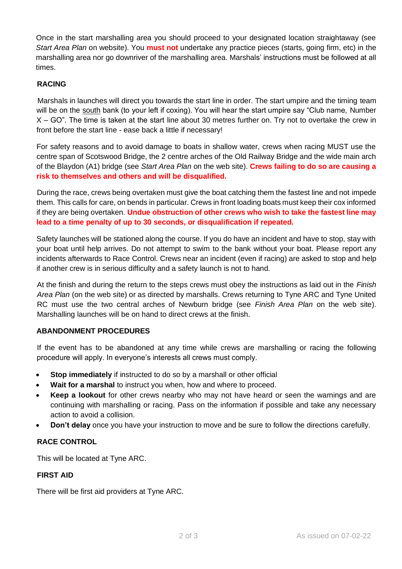Once in the start marshalling area you should proceed to your designated location straightaway (see *Start Area Plan* on website). You **must not** undertake any practice pieces (starts, going firm, etc) in the marshalling area nor go downriver of the marshalling area. Marshals' instructions must be followed at all times.

## **RACING**

Marshals in launches will direct you towards the start line in order. The start umpire and the timing team will be on the south bank (to your left if coxing). You will hear the start umpire say "Club name, Number X – GO". The time is taken at the start line about 30 metres further on. Try not to overtake the crew in front before the start line - ease back a little if necessary!

For safety reasons and to avoid damage to boats in shallow water, crews when racing MUST use the centre span of Scotswood Bridge, the 2 centre arches of the Old Railway Bridge and the wide main arch of the Blaydon (A1) bridge (see *Start Area Plan* on the web site). **Crews failing to do so are causing a risk to themselves and others and will be disqualified.** 

During the race, crews being overtaken must give the boat catching them the fastest line and not impede them. This calls for care, on bends in particular. Crews in front loading boats must keep their cox informed if they are being overtaken. **Undue obstruction of other crews who wish to take the fastest line may lead to a time penalty of up to 30 seconds, or disqualification if repeated.** 

Safety launches will be stationed along the course. If you do have an incident and have to stop, stay with your boat until help arrives. Do not attempt to swim to the bank without your boat. Please report any incidents afterwards to Race Control. Crews near an incident (even if racing) are asked to stop and help if another crew is in serious difficulty and a safety launch is not to hand.

At the finish and during the return to the steps crews must obey the instructions as laid out in the *Finish Area Plan* (on the web site) or as directed by marshalls. Crews returning to Tyne ARC and Tyne United RC must use the two central arches of Newburn bridge (see *Finish Area Plan* on the web site). Marshalling launches will be on hand to direct crews at the finish.

## **ABANDONMENT PROCEDURES**

If the event has to be abandoned at any time while crews are marshalling or racing the following procedure will apply. In everyone's interests all crews must comply.

- **Stop immediately** if instructed to do so by a marshall or other official
- **Wait for a marshal** to instruct you when, how and where to proceed.
- **Keep a lookout** for other crews nearby who may not have heard or seen the warnings and are continuing with marshalling or racing. Pass on the information if possible and take any necessary action to avoid a collision.
- **Don't delay** once you have your instruction to move and be sure to follow the directions carefully.

## **RACE CONTROL**

This will be located at Tyne ARC.

## **FIRST AID**

There will be first aid providers at Tyne ARC.